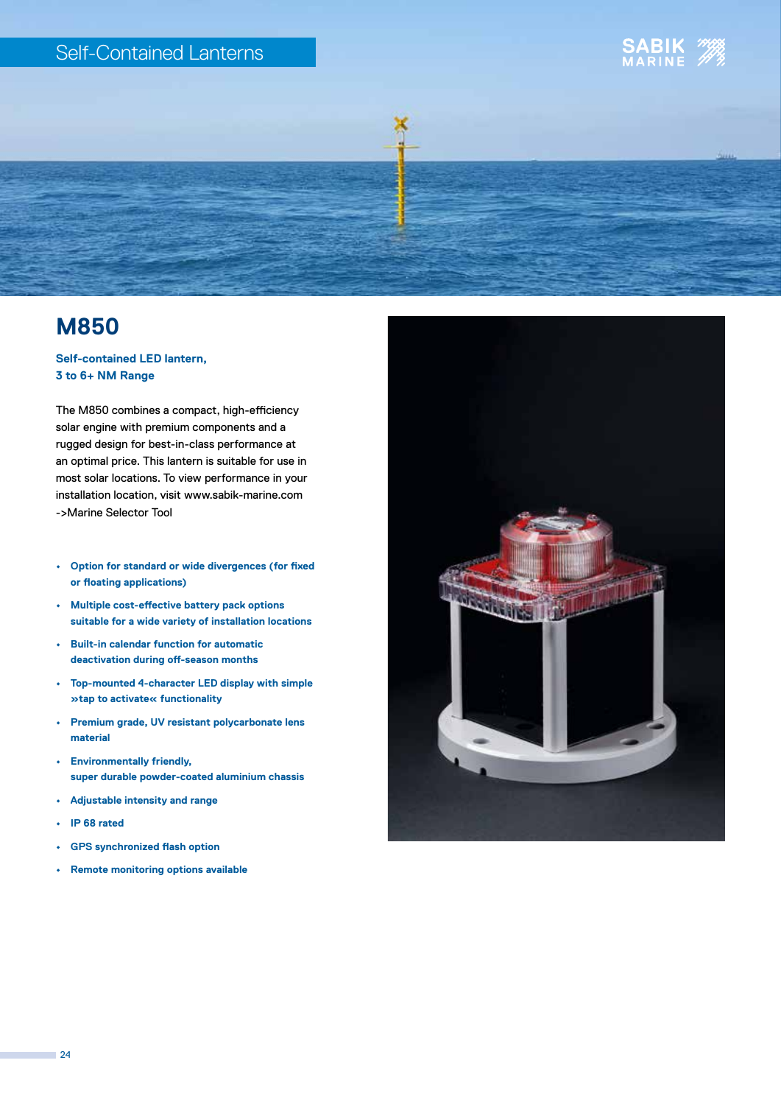### Self-Contained Lanterns





## **M850**

#### **Self-contained LED lantern, 3 to 6+ NM Range**

The M850 combines a compact, high-efficiency solar engine with premium components and a rugged design for best-in-class performance at an optimal price. This lantern is suitable for use in most solar locations. To view performance in your installation location, visit www.sabik-marine.com ->Marine Selector Tool

- **• Option for standard or wide divergences (for fixed or floating applications)**
- **• Multiple cost-effective battery pack options suitable for a wide variety of installation locations**
- **• Built-in calendar function for automatic deactivation during off-season months**
- **• Top-mounted 4-character LED display with simple »tap to activate« functionality**
- **• Premium grade, UV resistant polycarbonate lens material**
- **• Environmentally friendly, super durable powder-coated aluminium chassis**
- **• Adjustable intensity and range**
- **• IP 68 rated**
- **• GPS synchronized flash option**
- **• Remote monitoring options available**